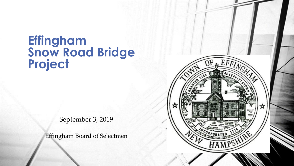# **Effingham Snow Road Bridge Project**

September 3, 2019

Effingham Board of Selectmen

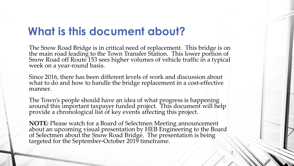## **What is this document about?**

The Snow Road Bridge is in critical need of replacement. This bridge is on the main road leading to the Town Transfer Station. This lower portion of Snow Road off Route 153 sees higher volumes of vehicle traffic in a typical week on a year-round basis.

Since 2016, there has been different levels of work and discussion about what to do and how to handle the bridge replacement in a cost-effective manner.

The Town's people should have an idea of what progress is happening around this important taxpayer funded project. This document will help provide a chronological list of key events affecting this project.

**NOTE:** Please watch for a Board of Selectmen Meeting announcement about an upcoming visual presentation by HEB Engineering to the Board of Selectmen about the Snow Road Bridge. The presentation is being targeted for the September-October 2019 timeframe.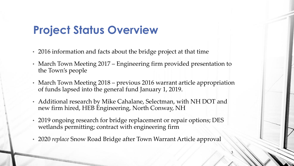## **Project Status Overview**

- 2016 information and facts about the bridge project at that time
- March Town Meeting 2017 Engineering firm provided presentation to the Town's people
- March Town Meeting 2018 previous 2016 warrant article appropriation of funds lapsed into the general fund January 1, 2019.
- Additional research by Mike Cahalane, Selectman, with NH DOT and new firm hired, HEB Engineering, North Conway, NH
- 2019 ongoing research for bridge replacement or repair options; DES wetlands permitting; contract with engineering firm
- 2020 *replace* Snow Road Bridge after Town Warrant Article approval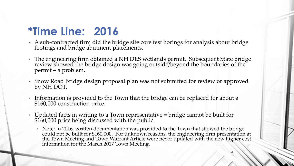## **\*Time Line: 2016**

- A sub-contracted firm did the bridge site core test borings for analysis about bridge footings and bridge abutment placements.
- The engineering firm obtained a NH DES wetlands permit. Subsequent State bridge review showed the bridge design was going outside/beyond the boundaries of the permit – a problem.
- Snow Road Bridge design proposal plan was not submitted for review or approved by NH DOT.
- Information is provided to the Town that the bridge can be replaced for about a \$160,000 construction price.
- Updated facts in writing to a Town representative = bridge cannot be built for \$160,000 price being discussed with the public.
	- Note: In 2016, written documentation was provided to the Town that showed the bridge could not be built for \$160,000. For unknown reasons, the engineering firm presentation at the Town Meeting and Town Warrant Article were never updated with the new higher cost information for the March 2017 Town Meeting.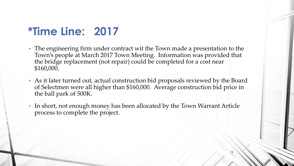## **\*Time Line: 2017**

- The engineering firm under contract wit the Town made a presentation to the Town's people at March 2017 Town Meeting. Information was provided that the bridge replacement (not repair) could be completed for a cost near \$160,000.
- As it later turned out, actual construction bid proposals reviewed by the Board of Selectmen were all higher than \$160,000. Average construction bid price in the ball park of 500K.
- In short, not enough money has been allocated by the Town Warrant Article process to complete the project.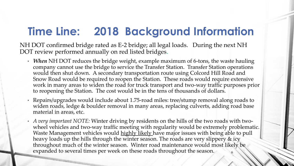## **Time Line: 2018 Background Information**

NH DOT confirmed bridge rated as E-2 bridge; all legal loads. During the next NH DOT review performed annually on red listed bridges.

- *When* NH DOT reduces the bridge weight, example maximum of 6-tons, the waste hauling company cannot use the bridge to service the Transfer Station. Transfer Station operations would then shut down. A secondary transportation route using Colcord Hill Road and Snow Road would be required to reopen the Station. These roads would require extensive work in many areas to widen the road for truck transport and two-way traffic purposes prior to reopening the Station. The cost would be in the tens of thousands of dollars.
- Repairs/upgrades would include about 1.75-road miles: tree/stump removal along roads to widen roads, ledge & boulder removal in many areas, replacing culverts, adding road base material in areas, etc.
- *A very important NOTE:* Winter driving by residents on the hills of the two roads with twowheel vehicles and two-way traffic meeting with regularity would be extremely problematic. Waste Management vehicles would highly likely have major issues with being able to pull heavy loads up the hills through the winter season. The roads are very slippery & icy throughout much of the winter season. Winter road maintenance would most likely be expanded to several times per week on these roads throughout the season.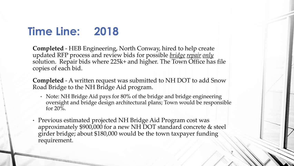## **Time Line: 2018**

**Completed** - HEB Engineering, North Conway, hired to help create updated RFP process and review bids for possible *bridge repair only* solution. Repair bids where 225k+ and higher. The Town Office has file copies of each bid.

**Completed** - A written request was submitted to NH DOT to add Snow Road Bridge to the NH Bridge Aid program.

• Note: NH Bridge Aid pays for 80% of the bridge and bridge engineering oversight and bridge design architectural plans; Town would be responsible for  $20\%$ .

7

• Previous estimated projected NH Bridge Aid Program cost was approximately \$900,000 for a new NH DOT standard concrete & steel girder bridge; about \$180,000 would be the town taxpayer funding requirement.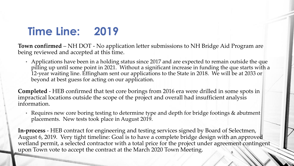## **Time Line: 2019**

**Town confirmed** – NH DOT - No application letter submissions to NH Bridge Aid Program are being reviewed and accepted at this time.

• Applications have been in a holding status since 2017 and are expected to remain outside the que pilling up until some point in 2021. Without a significant increase in funding the que starts with a 12-year waiting line. Effingham sent our applications to the State in 2018. We will be at 2033 or beyond at best guess for acting on our application.

**Completed** - HEB confirmed that test core borings from 2016 era were drilled in some spots in impractical locations outside the scope of the project and overall had insufficient analysis information.

• Requires new core boring testing to determine type and depth for bridge footings & abutment placements. New tests took place in August 2019.

**In-process** - HEB contract for engineering and testing services signed by Board of Selectmen, August 6, 2019. Very tight timeline: Goal is to have a complete bridge design with an approved wetland permit, a selected contractor with a total price for the project under agreement contingent upon Town vote to accept the contract at the March 2020 Town Meeting.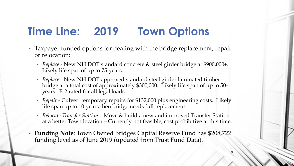## **Time Line: 2019 Town Options**

- Taxpayer funded options for dealing with the bridge replacement, repair or relocation:
	- *Replace* New NH DOT standard concrete & steel girder bridge at \$900,000+. Likely life span of up to 75-years.
	- *Replace* New NH DOT approved standard steel girder laminated timber bridge at a total cost of approximately \$300,000. Likely life span of up to 50 years. E-2 rated for all legal loads.
	- *Repair* Culvert temporary repairs for \$132,000 plus engineering costs. Likely life span up to 10-years then bridge needs full replacement.
	- *Relocate Transfer Station*  Move & build a new and improved Transfer Station at a better Town location – Currently not feasible; cost prohibitive at this time.
- **Funding Note**: Town Owned Bridges Capital Reserve Fund has \$208,722 funding level as of June 2019 (updated from Trust Fund Data).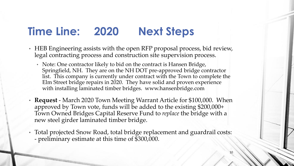#### **Time Line: 2020 Next Steps**

- HEB Engineering assists with the open RFP proposal process, bid review, legal contracting process and construction site supervision process.
	- Note: One contractor likely to bid on the contract is Hansen Bridge, Springfield, NH. They are on the NH DOT pre-approved bridge contractor list. This company is currently under contract with the Town to complete the Elm Street bridge repairs in 2020. They have solid and proven experience with installing laminated timber bridges. www.hansenbridge.com
- **Request** March 2020 Town Meeting Warrant Article for \$100,000. When approved by Town vote, funds will be added to the existing \$200,000+ Town Owned Bridges Capital Reserve Fund to *replace* the bridge with a new steel girder laminated timber bridge.
- Total projected Snow Road, total bridge replacement and guardrail costs: - preliminary estimate at this time of \$300,000.